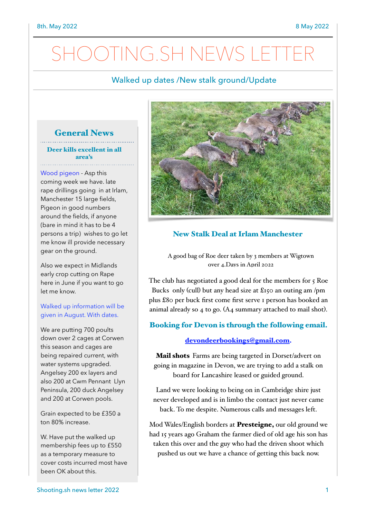## Walked up dates /New stalk ground/Update

# General News

Deer kills excellent in all area's

Wood pigeon - Asp this coming week we have. late rape drillings going in at Irlam, Manchester 15 large fields, Pigeon in good numbers around the fields, if anyone (bare in mind it has to be 4 persons a trip) wishes to go let me know ill provide necessary gear on the ground.

Also we expect in Midlands early crop cutting on Rape here in June if you want to go let me know.

#### Walked up information will be given in August. With dates.

We are putting 700 poults down over 2 cages at Corwen this season and cages are being repaired current, with water systems upgraded. Angelsey 200 ex layers and also 200 at Cwm Pennant Llyn Peninsula, 200 duck Angelsey and 200 at Corwen pools.

Grain expected to be £350 a ton 80% increase.

W. Have put the walked up membership fees up to £550 as a temporary measure to cover costs incurred most have been OK about this.



## New Stalk Deal at Irlam Manchester

A good bag of Roe deer taken by 3 members at Wigtown over 4.Days in April 2022

The club has negotiated a good deal for the members for 5 Roe Bucks only (cull) but any head size at £150 an outing am /pm plus £80 per buck first come first serve 1 person has booked an animal already so 4 to go. (A4 summary attached to mail shot).

### Booking for Devon is through the following email.

#### [devondeerbookings@gmail.com.](mailto:devondeerbokkings@gmail.com)

**Mail shots** Farms are being targeted in Dorset/advert on going in magazine in Devon, we are trying to add a stalk on board for Lancashire leased or guided ground.

Land we were looking to being on in Cambridge shire just never developed and is in limbo the contact just never came back. To me despite. Numerous calls and messages left.

Mod Wales/English borders at Presteigne, our old ground we had 15 years ago Graham the farmer died of old age his son has taken this over and the guy who had the driven shoot which pushed us out we have a chance of getting this back now.